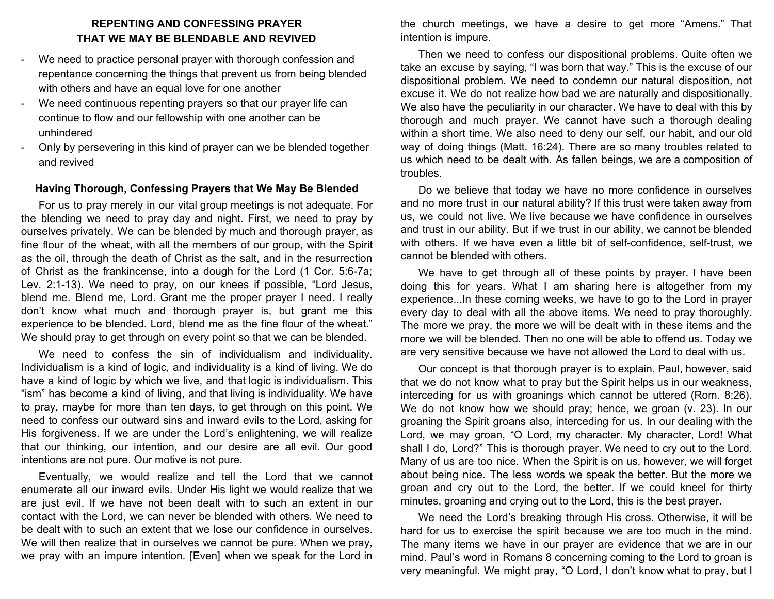# **REPENTING AND CONFESSING PRAYER THAT WE MAY BE BLENDABLE AND REVIVED**

- We need to practice personal prayer with thorough confession and repentance concerning the things that prevent us from being blended with others and have an equal love for one another
- We need continuous repenting prayers so that our prayer life can continue to flow and our fellowship with one another can be unhindered
- Only by persevering in this kind of prayer can we be blended together and revived

## **Having Thorough, Confessing Prayers that We May Be Blended**

For us to pray merely in our vital group meetings is not adequate. For the blending we need to pray day and night. First, we need to pray by ourselves privately. We can be blended by much and thorough prayer, as fine flour of the wheat, with all the members of our group, with the Spirit as the oil, through the death of Christ as the salt, and in the resurrection of Christ as the frankincense, into a dough for the Lord (1 Cor. 5:6-7a; Lev. 2:1-13). We need to pray, on our knees if possible, "Lord Jesus, blend me. Blend me, Lord. Grant me the proper prayer I need. I really don't know what much and thorough prayer is, but grant me this experience to be blended. Lord, blend me as the fine flour of the wheat." We should pray to get through on every point so that we can be blended.

We need to confess the sin of individualism and individuality. Individualism is a kind of logic, and individuality is a kind of living. We do have a kind of logic by which we live, and that logic is individualism. This "ism" has become a kind of living, and that living is individuality. We have to pray, maybe for more than ten days, to get through on this point. We need to confess our outward sins and inward evils to the Lord, asking for His forgiveness. If we are under the Lord's enlightening, we will realize that our thinking, our intention, and our desire are all evil. Our good intentions are not pure. Our motive is not pure.

Eventually, we would realize and tell the Lord that we cannot enumerate all our inward evils. Under His light we would realize that we are just evil. If we have not been dealt with to such an extent in our contact with the Lord, we can never be blended with others. We need to be dealt with to such an extent that we lose our confidence in ourselves. We will then realize that in ourselves we cannot be pure. When we pray, we pray with an impure intention. [Even] when we speak for the Lord in

the church meetings, we have a desire to get more "Amens." That intention is impure.

Then we need to confess our dispositional problems. Quite often we take an excuse by saying, "I was born that way." This is the excuse of our dispositional problem. We need to condemn our natural disposition, not excuse it. We do not realize how bad we are naturally and dispositionally. We also have the peculiarity in our character. We have to deal with this by thorough and much prayer. We cannot have such a thorough dealing within a short time. We also need to deny our self, our habit, and our old way of doing things (Matt. 16:24). There are so many troubles related to us which need to be dealt with. As fallen beings, we are a composition of troubles.

Do we believe that today we have no more confidence in ourselves and no more trust in our natural ability? If this trust were taken away from us, we could not live. We live because we have confidence in ourselves and trust in our ability. But if we trust in our ability, we cannot be blended with others. If we have even a little bit of self-confidence, self-trust, we cannot be blended with others.

We have to get through all of these points by prayer. I have been doing this for years. What I am sharing here is altogether from my experience...In these coming weeks, we have to go to the Lord in prayer every day to deal with all the above items. We need to pray thoroughly. The more we pray, the more we will be dealt with in these items and the more we will be blended. Then no one will be able to offend us. Today we are very sensitive because we have not allowed the Lord to deal with us.

Our concept is that thorough prayer is to explain. Paul, however, said that we do not know what to pray but the Spirit helps us in our weakness, interceding for us with groanings which cannot be uttered (Rom. 8:26). We do not know how we should pray; hence, we groan (v. 23). In our groaning the Spirit groans also, interceding for us. In our dealing with the Lord, we may groan, "O Lord, my character. My character, Lord! What shall I do, Lord?" This is thorough prayer. We need to cry out to the Lord. Many of us are too nice. When the Spirit is on us, however, we will forget about being nice. The less words we speak the better. But the more we groan and cry out to the Lord, the better. If we could kneel for thirty minutes, groaning and crying out to the Lord, this is the best prayer.

We need the Lord's breaking through His cross. Otherwise, it will be hard for us to exercise the spirit because we are too much in the mind. The many items we have in our prayer are evidence that we are in our mind. Paul's word in Romans 8 concerning coming to the Lord to groan is very meaningful. We might pray, "O Lord, I don't know what to pray, but I